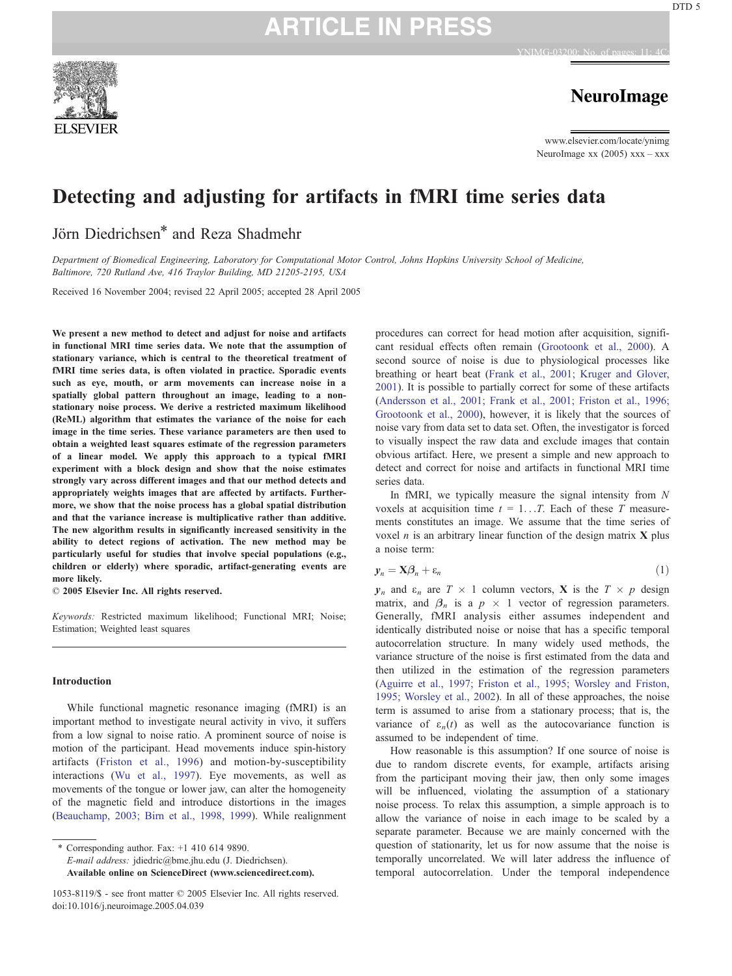

**NeuroImage** 

DTD 5

www.elsevier.com/locate/ynimg NeuroImage  $xx$  (2005)  $xxx - xxx$ 

# Detecting and adjusting for artifacts in fMRI time series data

Jörn Diedrichsen<sup>\*</sup> and Reza Shadmehr

Department of Biomedical Engineering, Laboratory for Computational Motor Control, Johns Hopkins University School of Medicine, Baltimore, 720 Rutland Ave, 416 Traylor Building, MD 21205-2195, USA

Received 16 November 2004; revised 22 April 2005; accepted 28 April 2005

We present a new method to detect and adjust for noise and artifacts in functional MRI time series data. We note that the assumption of stationary variance, which is central to the theoretical treatment of fMRI time series data, is often violated in practice. Sporadic events such as eye, mouth, or arm movements can increase noise in a spatially global pattern throughout an image, leading to a nonstationary noise process. We derive a restricted maximum likelihood (ReML) algorithm that estimates the variance of the noise for each image in the time series. These variance parameters are then used to obtain a weighted least squares estimate of the regression parameters of a linear model. We apply this approach to a typical fMRI experiment with a block design and show that the noise estimates strongly vary across different images and that our method detects and appropriately weights images that are affected by artifacts. Furthermore, we show that the noise process has a global spatial distribution and that the variance increase is multiplicative rather than additive. The new algorithm results in significantly increased sensitivity in the ability to detect regions of activation. The new method may be particularly useful for studies that involve special populations (e.g., children or elderly) where sporadic, artifact-generating events are more likely.

 $© 2005 Elsevier Inc. All rights reserved.$ 

Keywords: Restricted maximum likelihood; Functional MRI; Noise; Estimation; Weighted least squares

### Introduction

While functional magnetic resonance imaging (fMRI) is an important method to investigate neural activity in vivo, it suffers from a low signal to noise ratio. A prominent source of noise is motion of the participant. Head movements induce spin-history artifacts ([Friston et al., 1996\)](#page-9-0) and motion-by-susceptibility interactions ([Wu et al., 1997\)](#page-10-0). Eye movements, as well as movements of the tongue or lower jaw, can alter the homogeneity of the magnetic field and introduce distortions in the images ([Beauchamp, 2003; Birn et al., 1998, 1999\)](#page-9-0). While realignment

\* Corresponding author. Fax: +1 410 614 9890.

E-mail address: jdiedric@bme.jhu.edu (J. Diedrichsen).

Available online on ScienceDirect ([www.sciencedirect.com](http://www.sciencedirect.com)).

procedures can correct for head motion after acquisition, significant residual effects often remain ([Grootoonk et al., 2000\)](#page-9-0). A second source of noise is due to physiological processes like breathing or heart beat ([Frank et al., 2001; Kruger and Glover,](#page-9-0) 2001). It is possible to partially correct for some of these artifacts ([Andersson et al., 2001; Frank et al., 2001; Friston et al., 1996;](#page-9-0) Grootoonk et al., 2000), however, it is likely that the sources of noise vary from data set to data set. Often, the investigator is forced to visually inspect the raw data and exclude images that contain obvious artifact. Here, we present a simple and new approach to detect and correct for noise and artifacts in functional MRI time series data.

In fMRI, we typically measure the signal intensity from  $N$ voxels at acquisition time  $t = 1...T$ . Each of these T measurements constitutes an image. We assume that the time series of voxel *n* is an arbitrary linear function of the design matrix  $X$  plus a noise term:

$$
\mathbf{y}_n = \mathbf{X}\boldsymbol{\beta}_n + \boldsymbol{\epsilon}_n \tag{1}
$$

 $v_n$  and  $\varepsilon_n$  are  $T \times 1$  column vectors, **X** is the  $T \times p$  design matrix, and  $\beta_n$  is a  $p \times 1$  vector of regression parameters. Generally, fMRI analysis either assumes independent and identically distributed noise or noise that has a specific temporal autocorrelation structure. In many widely used methods, the variance structure of the noise is first estimated from the data and then utilized in the estimation of the regression parameters ([Aguirre et al., 1997; Friston et al., 1995; Worsley and Friston,](#page-9-0) 1995; Worsley et al., 2002). In all of these approaches, the noise term is assumed to arise from a stationary process; that is, the variance of  $\varepsilon_n(t)$  as well as the autocovariance function is assumed to be independent of time.

How reasonable is this assumption? If one source of noise is due to random discrete events, for example, artifacts arising from the participant moving their jaw, then only some images will be influenced, violating the assumption of a stationary noise process. To relax this assumption, a simple approach is to allow the variance of noise in each image to be scaled by a separate parameter. Because we are mainly concerned with the question of stationarity, let us for now assume that the noise is temporally uncorrelated. We will later address the influence of temporal autocorrelation. Under the temporal independence

<sup>1053-8119/\$ -</sup> see front matter © 2005 Elsevier Inc. All rights reserved. doi:10.1016/j.neuroimage.2005.04.039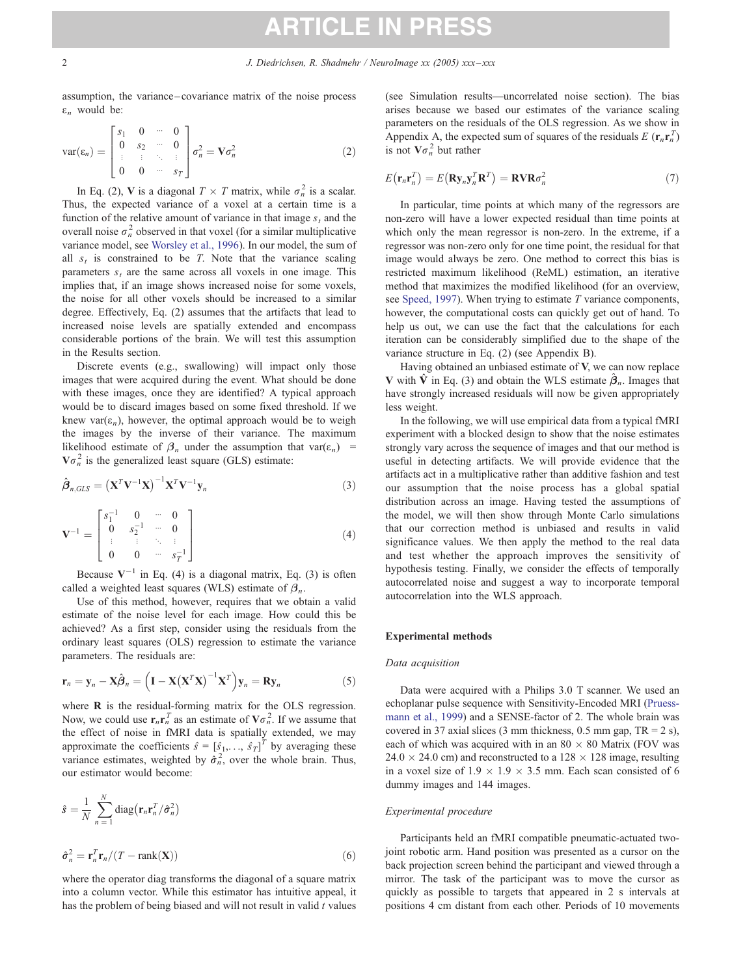assumption, the variance – covariance matrix of the noise process  $\varepsilon_n$  would be:

$$
var(\varepsilon_n) = \begin{bmatrix} s_1 & 0 & \cdots & 0 \\ 0 & s_2 & \cdots & 0 \\ \vdots & \vdots & \ddots & \vdots \\ 0 & 0 & \cdots & s_T \end{bmatrix} \sigma_n^2 = V \sigma_n^2 \tag{2}
$$

In Eq. (2), V is a diagonal  $T \times T$  matrix, while  $\sigma_n^2$  is a scalar. Thus, the expected variance of a voxel at a certain time is a function of the relative amount of variance in that image  $s_t$  and the overall noise  $\sigma_n^2$  observed in that voxel (for a similar multiplicative variance model, see [Worsley et al., 1996\)](#page-10-0). In our model, the sum of all  $s_t$  is constrained to be T. Note that the variance scaling parameters  $s_t$  are the same across all voxels in one image. This implies that, if an image shows increased noise for some voxels, the noise for all other voxels should be increased to a similar degree. Effectively, Eq. (2) assumes that the artifacts that lead to increased noise levels are spatially extended and encompass considerable portions of the brain. We will test this assumption in the Results section.

Discrete events (e.g., swallowing) will impact only those images that were acquired during the event. What should be done with these images, once they are identified? A typical approach would be to discard images based on some fixed threshold. If we knew var( $\varepsilon_n$ ), however, the optimal approach would be to weigh the images by the inverse of their variance. The maximum likelihood estimate of  $\beta_n$  under the assumption that var( $\varepsilon_n$ ) =  $\mathbf{V}\sigma_n^2$  is the generalized least square (GLS) estimate:

$$
\hat{\boldsymbol{\beta}}_{n,GLS} = \left(\mathbf{X}^T \mathbf{V}^{-1} \mathbf{X}\right)^{-1} \mathbf{X}^T \mathbf{V}^{-1} \mathbf{y}_n \tag{3}
$$

$$
\mathbf{V}^{-1} = \begin{bmatrix} s_1^{-1} & 0 & \cdots & 0 \\ 0 & s_2^{-1} & \cdots & 0 \\ \vdots & \vdots & \ddots & \vdots \\ 0 & 0 & \cdots & s_T^{-1} \end{bmatrix}
$$
 (4)

Because  $V^{-1}$  in Eq. (4) is a diagonal matrix, Eq. (3) is often called a weighted least squares (WLS) estimate of  $\beta_n$ .

Use of this method, however, requires that we obtain a valid estimate of the noise level for each image. How could this be achieved? As a first step, consider using the residuals from the ordinary least squares (OLS) regression to estimate the variance parameters. The residuals are:

$$
\mathbf{r}_n = \mathbf{y}_n - \mathbf{X}\hat{\boldsymbol{\beta}}_n = (\mathbf{I} - \mathbf{X}(\mathbf{X}^T\mathbf{X})^{-1}\mathbf{X}^T)\mathbf{y}_n = \mathbf{R}\mathbf{y}_n
$$
 (5)

where **R** is the residual-forming matrix for the OLS regression. Now, we could use  $\mathbf{r}_n \mathbf{r}_n^T$  as an estimate of  $\mathbf{V} \sigma_n^2$ . If we assume that the effect of noise in fMRI data is spatially extended, we may approximate the coefficients  $\hat{s} = [\hat{s}_1, \dots, \hat{s}_T]^T$  by averaging these variance estimates, weighted by  $\hat{\sigma}_n^2$ , over the whole brain. Thus, our estimator would become:

$$
\hat{s} = \frac{1}{N} \sum_{n=1}^{N} \text{diag}\left(\mathbf{r}_n \mathbf{r}_n^T / \hat{\sigma}_n^2\right)
$$

$$
\hat{\sigma}_n^2 = \mathbf{r}_n^T \mathbf{r}_n / (T - \text{rank}(\mathbf{X})) \tag{6}
$$

where the operator diag transforms the diagonal of a square matrix into a column vector. While this estimator has intuitive appeal, it has the problem of being biased and will not result in valid  $t$  values (see Simulation results—uncorrelated noise section). The bias arises because we based our estimates of the variance scaling parameters on the residuals of the OLS regression. As we show in Appendix A, the expected sum of squares of the residuals  $E(\mathbf{r}_n \mathbf{r}_n^T)$ is not  $V\sigma_n^2$  but rather

$$
E(\mathbf{r}_n \mathbf{r}_n^T) = E(\mathbf{R} \mathbf{y}_n \mathbf{y}_n^T \mathbf{R}^T) = \mathbf{R} \mathbf{V} \mathbf{R} \sigma_n^2
$$
 (7)

In particular, time points at which many of the regressors are non-zero will have a lower expected residual than time points at which only the mean regressor is non-zero. In the extreme, if a regressor was non-zero only for one time point, the residual for that image would always be zero. One method to correct this bias is restricted maximum likelihood (ReML) estimation, an iterative method that maximizes the modified likelihood (for an overview, see [Speed, 1997\)](#page-10-0). When trying to estimate  $T$  variance components, however, the computational costs can quickly get out of hand. To help us out, we can use the fact that the calculations for each iteration can be considerably simplified due to the shape of the variance structure in Eq. (2) (see Appendix B).

Having obtained an unbiased estimate of V, we can now replace V with  $\hat{V}$  in Eq. (3) and obtain the WLS estimate  $\hat{\beta}_n$ . Images that have strongly increased residuals will now be given appropriately less weight.

In the following, we will use empirical data from a typical fMRI experiment with a blocked design to show that the noise estimates strongly vary across the sequence of images and that our method is useful in detecting artifacts. We will provide evidence that the artifacts act in a multiplicative rather than additive fashion and test our assumption that the noise process has a global spatial distribution across an image. Having tested the assumptions of the model, we will then show through Monte Carlo simulations that our correction method is unbiased and results in valid significance values. We then apply the method to the real data and test whether the approach improves the sensitivity of hypothesis testing. Finally, we consider the effects of temporally autocorrelated noise and suggest a way to incorporate temporal autocorrelation into the WLS approach.

#### Experimental methods

#### Data acquisition

Data were acquired with a Philips 3.0 T scanner. We used an echoplanar pulse sequence with Sensitivity-Encoded MRI ([Pruess](#page-10-0)mann et al., 1999) and a SENSE-factor of 2. The whole brain was covered in 37 axial slices (3 mm thickness, 0.5 mm gap,  $TR = 2$  s), each of which was acquired with in an  $80 \times 80$  Matrix (FOV was  $24.0 \times 24.0$  cm) and reconstructed to a  $128 \times 128$  image, resulting in a voxel size of  $1.9 \times 1.9 \times 3.5$  mm. Each scan consisted of 6 dummy images and 144 images.

#### Experimental procedure

Participants held an fMRI compatible pneumatic-actuated twojoint robotic arm. Hand position was presented as a cursor on the back projection screen behind the participant and viewed through a mirror. The task of the participant was to move the cursor as quickly as possible to targets that appeared in 2 s intervals at positions 4 cm distant from each other. Periods of 10 movements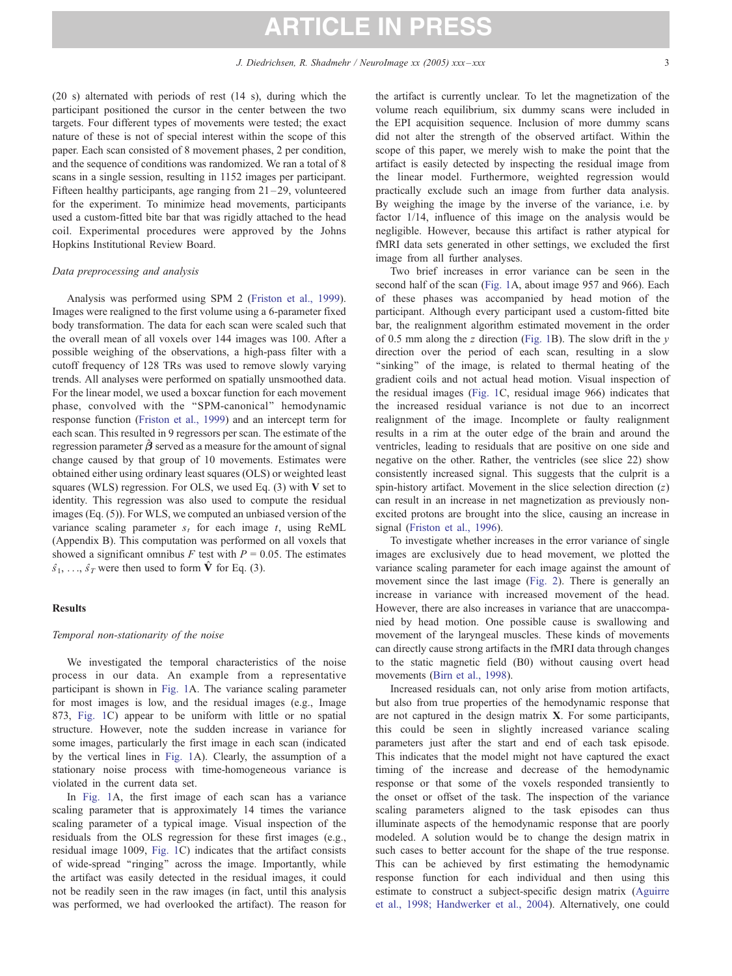(20 s) alternated with periods of rest (14 s), during which the participant positioned the cursor in the center between the two targets. Four different types of movements were tested; the exact nature of these is not of special interest within the scope of this paper. Each scan consisted of 8 movement phases, 2 per condition, and the sequence of conditions was randomized. We ran a total of 8 scans in a single session, resulting in 1152 images per participant. Fifteen healthy participants, age ranging from  $21 - 29$ , volunteered for the experiment. To minimize head movements, participants used a custom-fitted bite bar that was rigidly attached to the head coil. Experimental procedures were approved by the Johns Hopkins Institutional Review Board.

### Data preprocessing and analysis

Analysis was performed using SPM 2 ([Friston et al., 1999\)](#page-9-0). Images were realigned to the first volume using a 6-parameter fixed body transformation. The data for each scan were scaled such that the overall mean of all voxels over 144 images was 100. After a possible weighing of the observations, a high-pass filter with a cutoff frequency of 128 TRs was used to remove slowly varying trends. All analyses were performed on spatially unsmoothed data. For the linear model, we used a boxcar function for each movement phase, convolved with the ''SPM-canonical'' hemodynamic response function ([Friston et al., 1999\)](#page-9-0) and an intercept term for each scan. This resulted in 9 regressors per scan. The estimate of the regression parameter  $\hat{\boldsymbol{\beta}}$  served as a measure for the amount of signal change caused by that group of 10 movements. Estimates were obtained either using ordinary least squares (OLS) or weighted least squares (WLS) regression. For OLS, we used Eq.  $(3)$  with V set to identity. This regression was also used to compute the residual images (Eq. (5)). For WLS, we computed an unbiased version of the variance scaling parameter  $s_t$  for each image t, using ReML (Appendix B). This computation was performed on all voxels that showed a significant omnibus F test with  $P = 0.05$ . The estimates  $\hat{s}_1, \ldots, \hat{s}_T$  were then used to form  $\hat{\mathbf{V}}$  for Eq. (3).

# Results

## Temporal non-stationarity of the noise

We investigated the temporal characteristics of the noise process in our data. An example from a representative participant is shown in [Fig. 1A](#page-3-0). The variance scaling parameter for most images is low, and the residual images (e.g., Image 873, [Fig. 1C](#page-3-0)) appear to be uniform with little or no spatial structure. However, note the sudden increase in variance for some images, particularly the first image in each scan (indicated by the vertical lines in [Fig. 1A](#page-3-0)). Clearly, the assumption of a stationary noise process with time-homogeneous variance is violated in the current data set.

In [Fig. 1A](#page-3-0), the first image of each scan has a variance scaling parameter that is approximately 14 times the variance scaling parameter of a typical image. Visual inspection of the residuals from the OLS regression for these first images (e.g., residual image 1009, [Fig. 1C](#page-3-0)) indicates that the artifact consists of wide-spread ''ringing'' across the image. Importantly, while the artifact was easily detected in the residual images, it could not be readily seen in the raw images (in fact, until this analysis was performed, we had overlooked the artifact). The reason for

the artifact is currently unclear. To let the magnetization of the volume reach equilibrium, six dummy scans were included in the EPI acquisition sequence. Inclusion of more dummy scans did not alter the strength of the observed artifact. Within the scope of this paper, we merely wish to make the point that the artifact is easily detected by inspecting the residual image from the linear model. Furthermore, weighted regression would practically exclude such an image from further data analysis. By weighing the image by the inverse of the variance, i.e. by factor 1/14, influence of this image on the analysis would be negligible. However, because this artifact is rather atypical for fMRI data sets generated in other settings, we excluded the first image from all further analyses.

Two brief increases in error variance can be seen in the second half of the scan ([Fig. 1A](#page-3-0), about image 957 and 966). Each of these phases was accompanied by head motion of the participant. Although every participant used a custom-fitted bite bar, the realignment algorithm estimated movement in the order of 0.5 mm along the z direction ([Fig. 1B](#page-3-0)). The slow drift in the  $y$ direction over the period of each scan, resulting in a slow "sinking" of the image, is related to thermal heating of the gradient coils and not actual head motion. Visual inspection of the residual images ([Fig. 1C](#page-3-0), residual image 966) indicates that the increased residual variance is not due to an incorrect realignment of the image. Incomplete or faulty realignment results in a rim at the outer edge of the brain and around the ventricles, leading to residuals that are positive on one side and negative on the other. Rather, the ventricles (see slice 22) show consistently increased signal. This suggests that the culprit is a spin-history artifact. Movement in the slice selection direction  $(z)$ can result in an increase in net magnetization as previously nonexcited protons are brought into the slice, causing an increase in signal ([Friston et al., 1996\)](#page-9-0).

To investigate whether increases in the error variance of single images are exclusively due to head movement, we plotted the variance scaling parameter for each image against the amount of movement since the last image ([Fig. 2\)](#page-4-0). There is generally an increase in variance with increased movement of the head. However, there are also increases in variance that are unaccompanied by head motion. One possible cause is swallowing and movement of the laryngeal muscles. These kinds of movements can directly cause strong artifacts in the fMRI data through changes to the static magnetic field (B0) without causing overt head movements ([Birn et al., 1998\)](#page-9-0).

Increased residuals can, not only arise from motion artifacts, but also from true properties of the hemodynamic response that are not captured in the design matrix  $X$ . For some participants, this could be seen in slightly increased variance scaling parameters just after the start and end of each task episode. This indicates that the model might not have captured the exact timing of the increase and decrease of the hemodynamic response or that some of the voxels responded transiently to the onset or offset of the task. The inspection of the variance scaling parameters aligned to the task episodes can thus illuminate aspects of the hemodynamic response that are poorly modeled. A solution would be to change the design matrix in such cases to better account for the shape of the true response. This can be achieved by first estimating the hemodynamic response function for each individual and then using this estimate to construct a subject-specific design matrix ([Aguirre](#page-9-0) et al., 1998; Handwerker et al., 2004). Alternatively, one could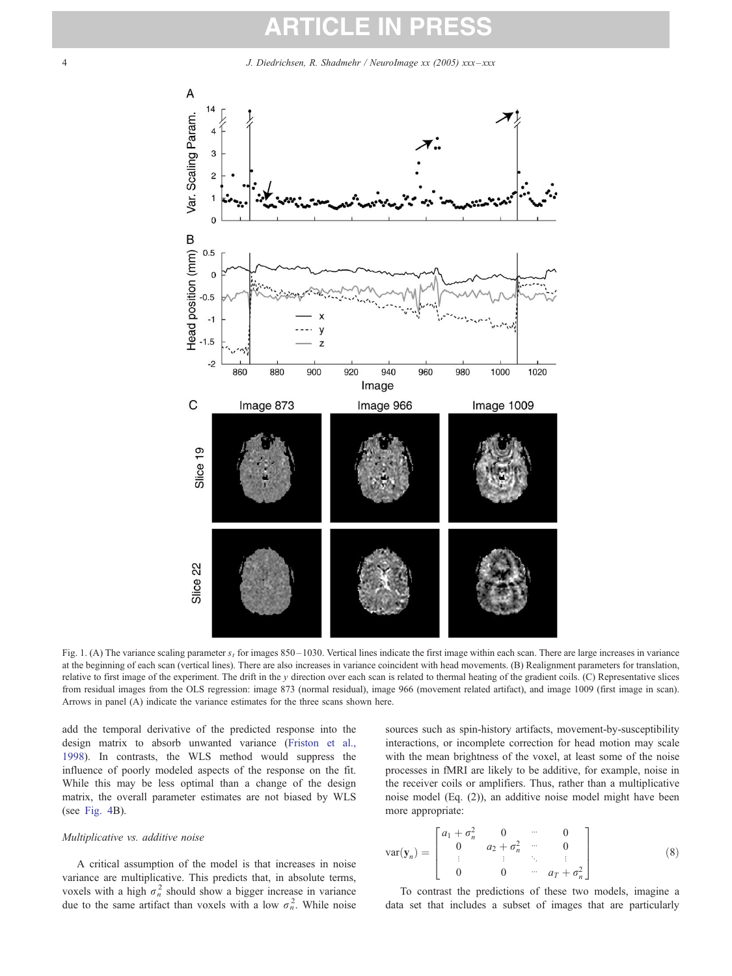<span id="page-3-0"></span>

Fig. 1. (A) The variance scaling parameter  $s_t$  for images 850 – 1030. Vertical lines indicate the first image within each scan. There are large increases in variance at the beginning of each scan (vertical lines). There are also increases in variance coincident with head movements. (B) Realignment parameters for translation, relative to first image of the experiment. The drift in the  $y$  direction over each scan is related to thermal heating of the gradient coils. (C) Representative slices from residual images from the OLS regression: image 873 (normal residual), image 966 (movement related artifact), and image 1009 (first image in scan). Arrows in panel (A) indicate the variance estimates for the three scans shown here.

add the temporal derivative of the predicted response into the design matrix to absorb unwanted variance ([Friston et al.,](#page-9-0) 1998). In contrasts, the WLS method would suppress the influence of poorly modeled aspects of the response on the fit. While this may be less optimal than a change of the design matrix, the overall parameter estimates are not biased by WLS (see [Fig. 4B](#page-6-0)).

#### Multiplicative vs. additive noise

A critical assumption of the model is that increases in noise variance are multiplicative. This predicts that, in absolute terms, voxels with a high  $\sigma_n^2$  should show a bigger increase in variance due to the same artifact than voxels with a low  $\sigma_n^2$ . While noise

sources such as spin-history artifacts, movement-by-susceptibility interactions, or incomplete correction for head motion may scale with the mean brightness of the voxel, at least some of the noise processes in fMRI are likely to be additive, for example, noise in the receiver coils or amplifiers. Thus, rather than a multiplicative noise model (Eq. (2)), an additive noise model might have been more appropriate:

$$
var(\mathbf{y}_n) = \begin{bmatrix} a_1 + \sigma_n^2 & 0 & \cdots & 0 \\ 0 & a_2 + \sigma_n^2 & \cdots & 0 \\ \vdots & \vdots & \ddots & \vdots \\ 0 & 0 & \cdots & a_T + \sigma_n^2 \end{bmatrix}
$$
 (8)

To contrast the predictions of these two models, imagine a data set that includes a subset of images that are particularly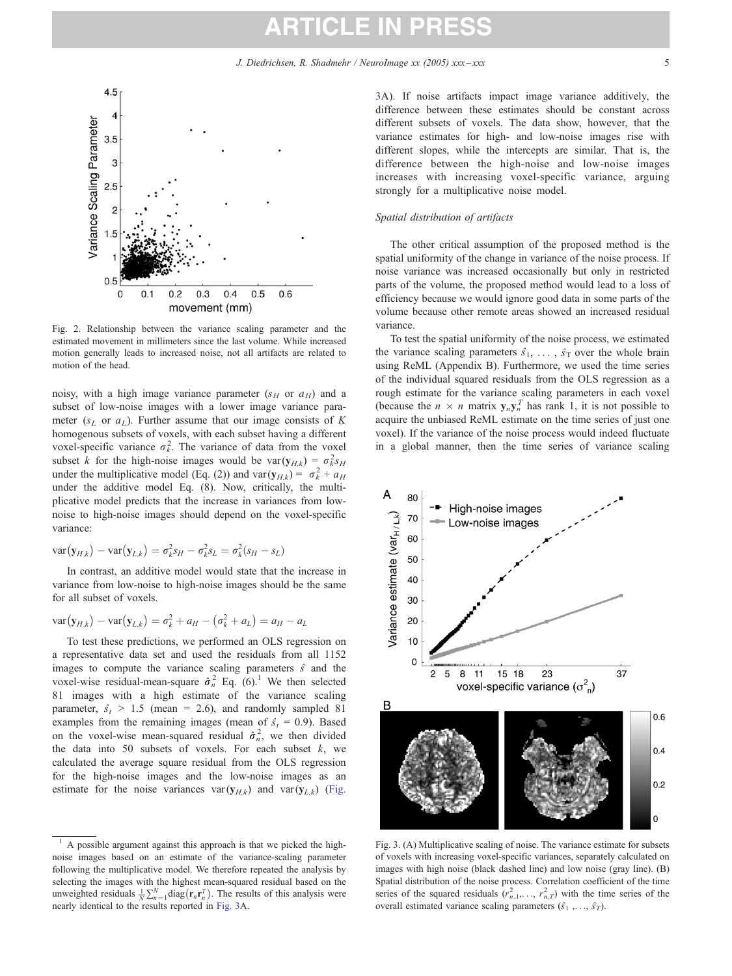<span id="page-4-0"></span>

Fig. 2. Relationship between the variance scaling parameter and the estimated movement in millimeters since the last volume. While increased motion generally leads to increased noise, not all artifacts are related to motion of the head.

noisy, with a high image variance parameter  $(s_H \text{ or } a_H)$  and a subset of low-noise images with a lower image variance parameter ( $s_L$  or  $a_L$ ). Further assume that our image consists of K homogenous subsets of voxels, with each subset having a different voxel-specific variance  $\sigma_k^2$ . The variance of data from the voxel subset k for the high-noise images would be  $var(y_{H,k}) = \sigma_k^2 s_H$ under the multiplicative model (Eq. (2)) and var $(y_{H,k}) = \sigma_k^2 + a_H$ under the additive model Eq. (8). Now, critically, the multiplicative model predicts that the increase in variances from lownoise to high-noise images should depend on the voxel-specific variance:

$$
\text{var}(\mathbf{y}_{H,k}) - \text{var}(\mathbf{y}_{L,k}) = \sigma_k^2 s_H - \sigma_k^2 s_L = \sigma_k^2 (s_H - s_L)
$$

In contrast, an additive model would state that the increase in variance from low-noise to high-noise images should be the same for all subset of voxels.

$$
var(\mathbf{y}_{H,k}) - var(\mathbf{y}_{L,k}) = \sigma_k^2 + a_H - (\sigma_k^2 + a_L) = a_H - a_L
$$

To test these predictions, we performed an OLS regression on a representative data set and used the residuals from all 1152 images to compute the variance scaling parameters  $\hat{s}$  and the voxel-wise residual-mean-square  $\hat{\sigma}_n^2$  Eq. (6).<sup>1</sup> We then selected 81 images with a high estimate of the variance scaling parameter,  $\hat{s}_t > 1.5$  (mean = 2.6), and randomly sampled 81 examples from the remaining images (mean of  $\hat{s}_t = 0.9$ ). Based on the voxel-wise mean-squared residual  $\hat{\sigma}_n^2$ , we then divided the data into 50 subsets of voxels. For each subset  $k$ , we calculated the average square residual from the OLS regression for the high-noise images and the low-noise images as an estimate for the noise variances  $var(y_{H,k})$  and  $var(y_{L,k})$  (Fig.

3A). If noise artifacts impact image variance additively, the difference between these estimates should be constant across different subsets of voxels. The data show, however, that the variance estimates for high- and low-noise images rise with different slopes, while the intercepts are similar. That is, the difference between the high-noise and low-noise images increases with increasing voxel-specific variance, arguing strongly for a multiplicative noise model.

### Spatial distribution of artifacts

The other critical assumption of the proposed method is the spatial uniformity of the change in variance of the noise process. If noise variance was increased occasionally but only in restricted parts of the volume, the proposed method would lead to a loss of efficiency because we would ignore good data in some parts of the volume because other remote areas showed an increased residual variance.

To test the spatial uniformity of the noise process, we estimated the variance scaling parameters  $\hat{s}_1, \ldots, \hat{s}_T$  over the whole brain using ReML (Appendix B). Furthermore, we used the time series of the individual squared residuals from the OLS regression as a rough estimate for the variance scaling parameters in each voxel (because the  $n \times n$  matrix  $y_n y_n^T$  has rank 1, it is not possible to acquire the unbiased ReML estimate on the time series of just one voxel). If the variance of the noise process would indeed fluctuate in a global manner, then the time series of variance scaling



Fig. 3. (A) Multiplicative scaling of noise. The variance estimate for subsets of voxels with increasing voxel-specific variances, separately calculated on images with high noise (black dashed line) and low noise (gray line). (B) Spatial distribution of the noise process. Correlation coefficient of the time series of the squared residuals  $(r_{n,1}^2, \ldots, r_{n,T}^2)$  with the time series of the overall estimated variance scaling parameters  $(\hat{s}_1, \ldots, \hat{s}_T)$ .

<sup>1</sup> A possible argument against this approach is that we picked the highnoise images based on an estimate of the variance-scaling parameter following the multiplicative model. We therefore repeated the analysis by selecting the images with the highest mean-squared residual based on the unweighted residuals  $\frac{1}{N} \sum_{n=1}^{N} \text{diag}(\mathbf{r}_n \mathbf{r}_n^T)$ . The results of this analysis were nearly identical to the results reported in Fig. 3A.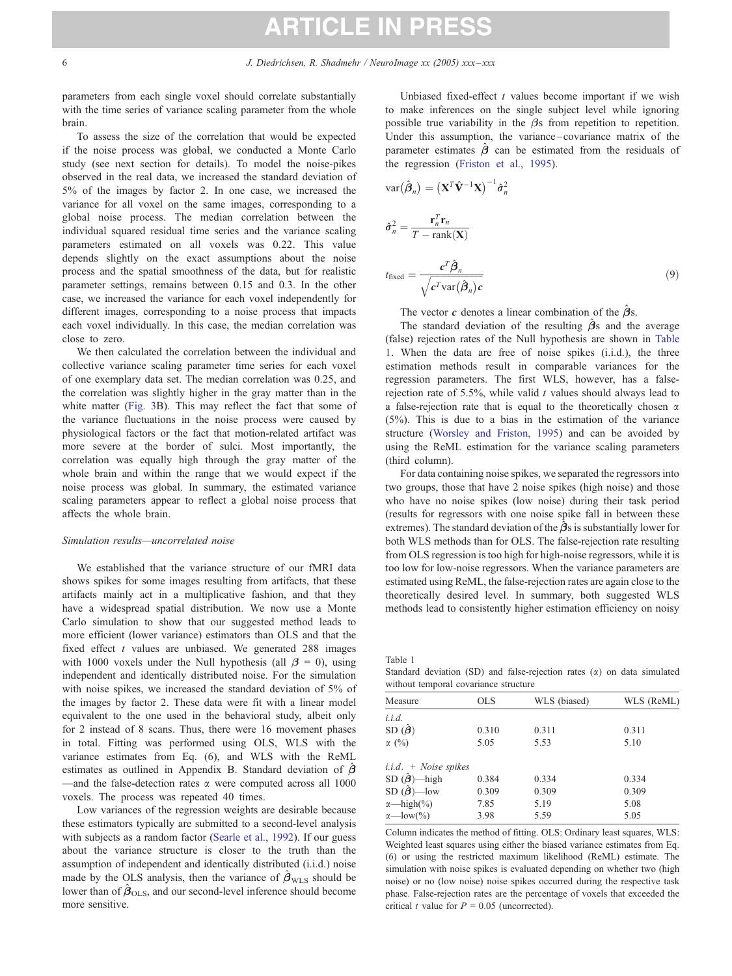parameters from each single voxel should correlate substantially with the time series of variance scaling parameter from the whole brain.

To assess the size of the correlation that would be expected if the noise process was global, we conducted a Monte Carlo study (see next section for details). To model the noise-pikes observed in the real data, we increased the standard deviation of 5% of the images by factor 2. In one case, we increased the variance for all voxel on the same images, corresponding to a global noise process. The median correlation between the individual squared residual time series and the variance scaling parameters estimated on all voxels was 0.22. This value depends slightly on the exact assumptions about the noise process and the spatial smoothness of the data, but for realistic parameter settings, remains between 0.15 and 0.3. In the other case, we increased the variance for each voxel independently for different images, corresponding to a noise process that impacts each voxel individually. In this case, the median correlation was close to zero.

We then calculated the correlation between the individual and collective variance scaling parameter time series for each voxel of one exemplary data set. The median correlation was 0.25, and the correlation was slightly higher in the gray matter than in the white matter ([Fig. 3B](#page-4-0)). This may reflect the fact that some of the variance fluctuations in the noise process were caused by physiological factors or the fact that motion-related artifact was more severe at the border of sulci. Most importantly, the correlation was equally high through the gray matter of the whole brain and within the range that we would expect if the noise process was global. In summary, the estimated variance scaling parameters appear to reflect a global noise process that affects the whole brain.

### Simulation results—uncorrelated noise

We established that the variance structure of our fMRI data shows spikes for some images resulting from artifacts, that these artifacts mainly act in a multiplicative fashion, and that they have a widespread spatial distribution. We now use a Monte Carlo simulation to show that our suggested method leads to more efficient (lower variance) estimators than OLS and that the fixed effect  $t$  values are unbiased. We generated 288 images with 1000 voxels under the Null hypothesis (all  $\beta = 0$ ), using independent and identically distributed noise. For the simulation with noise spikes, we increased the standard deviation of 5% of the images by factor 2. These data were fit with a linear model equivalent to the one used in the behavioral study, albeit only for 2 instead of 8 scans. Thus, there were 16 movement phases in total. Fitting was performed using OLS, WLS with the variance estimates from Eq. (6), and WLS with the ReML estimates as outlined in Appendix B. Standard deviation of  $\hat{\beta}$ —and the false-detection rates  $\alpha$  were computed across all 1000 voxels. The process was repeated 40 times.

Low variances of the regression weights are desirable because these estimators typically are submitted to a second-level analysis with subjects as a random factor ([Searle et al., 1992\)](#page-10-0). If our guess about the variance structure is closer to the truth than the assumption of independent and identically distributed (i.i.d.) noise made by the OLS analysis, then the variance of  $\hat{\beta}_{\text{WLS}}$  should be lower than of  $\hat{\beta}_{OLS}$ , and our second-level inference should become more sensitive.

Unbiased fixed-effect  $t$  values become important if we wish to make inferences on the single subject level while ignoring possible true variability in the  $\beta$ s from repetition to repetition. Under this assumption, the variance – covariance matrix of the parameter estimates  $\hat{\beta}$  can be estimated from the residuals of the regression ([Friston et al., 1995\)](#page-9-0).

$$
\operatorname{var}(\hat{\boldsymbol{\beta}}_n) = (\mathbf{X}^T \hat{\mathbf{V}}^{-1} \mathbf{X})^{-1} \hat{\sigma}_n^2
$$

$$
\hat{\sigma}_n^2 = \frac{\mathbf{r}_n^T \mathbf{r}_n}{T - \operatorname{rank}(\mathbf{X})}
$$

$$
t_{\text{fixed}} = \frac{c^T \hat{\boldsymbol{\beta}}_n}{\sqrt{c^T \operatorname{var}(\hat{\boldsymbol{\beta}}_n) c}}
$$
(9)

The vector c denotes a linear combination of the  $\hat{\beta}$ s.

The standard deviation of the resulting  $\hat{\beta}$ s and the average (false) rejection rates of the Null hypothesis are shown in Table 1. When the data are free of noise spikes (i.i.d.), the three estimation methods result in comparable variances for the regression parameters. The first WLS, however, has a falserejection rate of 5.5%, while valid  $t$  values should always lead to a false-rejection rate that is equal to the theoretically chosen  $\alpha$ (5%). This is due to a bias in the estimation of the variance structure ([Worsley and Friston, 1995\)](#page-10-0) and can be avoided by using the ReML estimation for the variance scaling parameters (third column).

For data containing noise spikes, we separated the regressors into two groups, those that have 2 noise spikes (high noise) and those who have no noise spikes (low noise) during their task period (results for regressors with one noise spike fall in between these extremes). The standard deviation of the  $\hat{\beta}$ s is substantially lower for both WLS methods than for OLS. The false-rejection rate resulting from OLS regression is too high for high-noise regressors, while it is too low for low-noise regressors. When the variance parameters are estimated using ReML, the false-rejection rates are again close to the theoretically desired level. In summary, both suggested WLS methods lead to consistently higher estimation efficiency on noisy

Table 1

Standard deviation (SD) and false-rejection rates  $(\alpha)$  on data simulated without temporal covariance structure

| Measure                               | <b>OLS</b> | WLS (biased) | WLS (ReML) |
|---------------------------------------|------------|--------------|------------|
| i.i.d.                                |            |              |            |
| SD $(\beta)$                          | 0.310      | 0.311        | 0.311      |
| $\alpha$ (%)                          | 5.05       | 5.53         | 5.10       |
| $i.i.d. + Noise spikes$               |            |              |            |
| SD $(\hat{\boldsymbol{\beta}})$ —high | 0.384      | 0.334        | 0.334      |
| SD $(\hat{\boldsymbol{\beta}})$ —low  | 0.309      | 0.309        | 0.309      |
| $\alpha$ —high $(\%)$                 | 7.85       | 5.19         | 5.08       |
| $\alpha$ —low $\binom{0}{0}$          | 3.98       | 5.59         | 5.05       |

Column indicates the method of fitting. OLS: Ordinary least squares, WLS: Weighted least squares using either the biased variance estimates from Eq. (6) or using the restricted maximum likelihood (ReML) estimate. The simulation with noise spikes is evaluated depending on whether two (high noise) or no (low noise) noise spikes occurred during the respective task phase. False-rejection rates are the percentage of voxels that exceeded the critical t value for  $P = 0.05$  (uncorrected).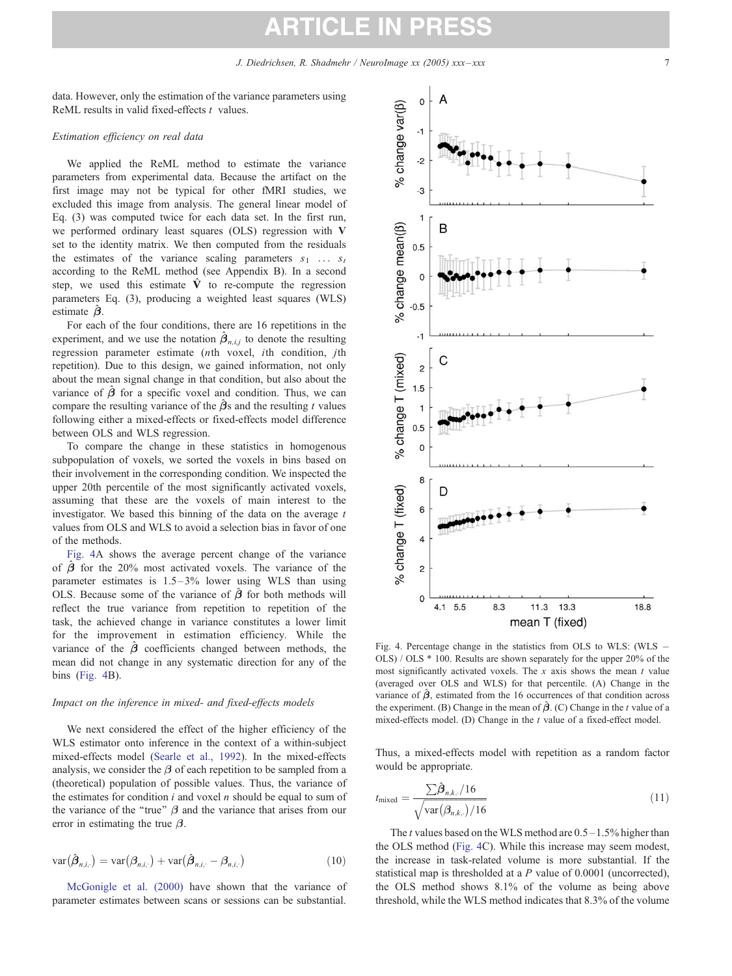<span id="page-6-0"></span>data. However, only the estimation of the variance parameters using ReML results in valid fixed-effects  $t$  values.

## Estimation efficiency on real data

We applied the ReML method to estimate the variance parameters from experimental data. Because the artifact on the first image may not be typical for other fMRI studies, we excluded this image from analysis. The general linear model of Eq. (3) was computed twice for each data set. In the first run, we performed ordinary least squares (OLS) regression with V set to the identity matrix. We then computed from the residuals the estimates of the variance scaling parameters  $s_1 \ldots s_t$ according to the ReML method (see Appendix B). In a second step, we used this estimate  $\hat{V}$  to re-compute the regression parameters Eq. (3), producing a weighted least squares (WLS) estimate  $\hat{\boldsymbol{\beta}}$ .

For each of the four conditions, there are 16 repetitions in the experiment, and we use the notation  $\hat{\boldsymbol{\beta}}_{n,i,j}$  to denote the resulting regression parameter estimate (nth voxel, ith condition, jth repetition). Due to this design, we gained information, not only about the mean signal change in that condition, but also about the variance of  $\hat{\beta}$  for a specific voxel and condition. Thus, we can compare the resulting variance of the  $\hat{\beta}$ s and the resulting t values following either a mixed-effects or fixed-effects model difference between OLS and WLS regression.

To compare the change in these statistics in homogenous subpopulation of voxels, we sorted the voxels in bins based on their involvement in the corresponding condition. We inspected the upper 20th percentile of the most significantly activated voxels, assuming that these are the voxels of main interest to the investigator. We based this binning of the data on the average  $t$ values from OLS and WLS to avoid a selection bias in favor of one of the methods.

Fig. 4A shows the average percent change of the variance of  $\hat{\beta}$  for the 20% most activated voxels. The variance of the parameter estimates is  $1.5-3\%$  lower using WLS than using OLS. Because some of the variance of  $\hat{\beta}$  for both methods will reflect the true variance from repetition to repetition of the task, the achieved change in variance constitutes a lower limit for the improvement in estimation efficiency. While the variance of the  $\hat{\beta}$  coefficients changed between methods, the mean did not change in any systematic direction for any of the bins (Fig. 4B).

### Impact on the inference in mixed- and fixed-effects models

We next considered the effect of the higher efficiency of the WLS estimator onto inference in the context of a within-subject mixed-effects model ([Searle et al., 1992\)](#page-10-0). In the mixed-effects analysis, we consider the  $\beta$  of each repetition to be sampled from a (theoretical) population of possible values. Thus, the variance of the estimates for condition  $i$  and voxel  $n$  should be equal to sum of the variance of the "true"  $\beta$  and the variance that arises from our error in estimating the true  $\beta$ .

$$
\text{var}(\hat{\boldsymbol{\beta}}_{n,i,\cdot}) = \text{var}(\boldsymbol{\beta}_{n,i,\cdot}) + \text{var}(\hat{\boldsymbol{\beta}}_{n,i,\cdot} - \boldsymbol{\beta}_{n,i,\cdot})
$$
(10)

[McGonigle et al. \(2000\)](#page-10-0) have shown that the variance of parameter estimates between scans or sessions can be substantial.



Fig. 4. Percentage change in the statistics from OLS to WLS: (WLS OLS) / OLS \* 100. Results are shown separately for the upper 20% of the most significantly activated voxels. The  $x$  axis shows the mean  $t$  value (averaged over OLS and WLS) for that percentile. (A) Change in the variance of  $\hat{\beta}$ , estimated from the 16 occurrences of that condition across the experiment. (B) Change in the mean of  $\hat{\beta}$ . (C) Change in the t value of a mixed-effects model. (D) Change in the  $t$  value of a fixed-effect model.

Thus, a mixed-effects model with repetition as a random factor would be appropriate.

$$
t_{\text{mixed}} = \frac{\sum \hat{\boldsymbol{\beta}}_{n,k,\cdot}/16}{\sqrt{\text{var}(\boldsymbol{\beta}_{n,k,\cdot})/16}}
$$
(11)

The t values based on the WLS method are  $0.5 - 1.5\%$  higher than the OLS method (Fig. 4C). While this increase may seem modest, the increase in task-related volume is more substantial. If the statistical map is thresholded at a P value of 0.0001 (uncorrected), the OLS method shows 8.1% of the volume as being above threshold, while the WLS method indicates that 8.3% of the volume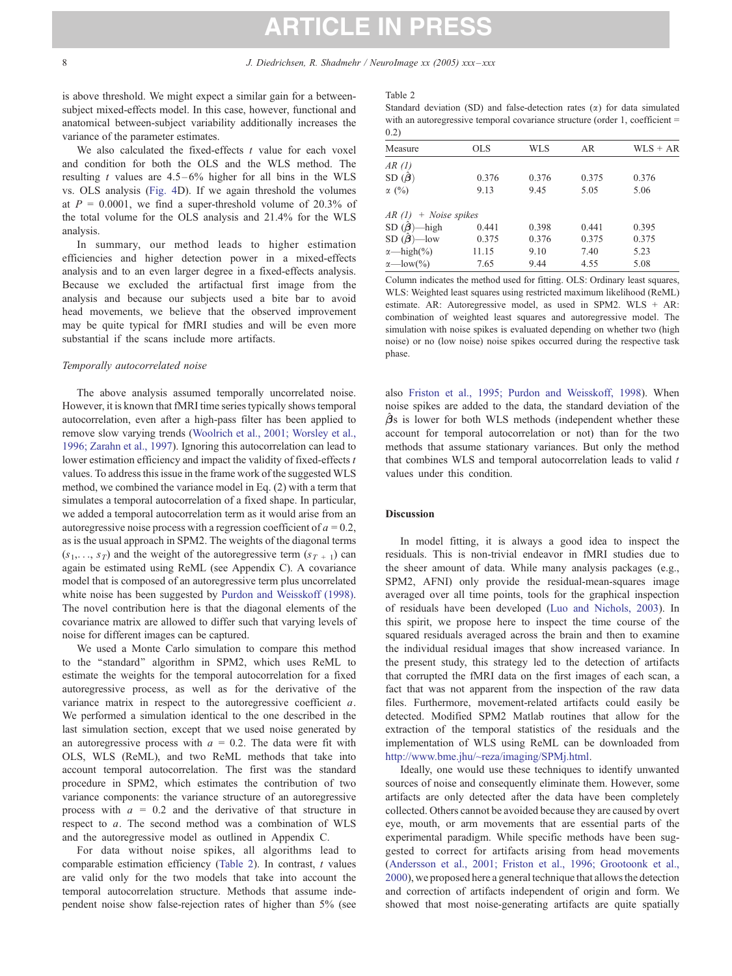is above threshold. We might expect a similar gain for a betweensubject mixed-effects model. In this case, however, functional and anatomical between-subject variability additionally increases the variance of the parameter estimates.

We also calculated the fixed-effects  $t$  value for each voxel and condition for both the OLS and the WLS method. The resulting  $t$  values are  $4.5 - 6\%$  higher for all bins in the WLS vs. OLS analysis ([Fig. 4D](#page-6-0)). If we again threshold the volumes at  $P = 0.0001$ , we find a super-threshold volume of 20.3% of the total volume for the OLS analysis and 21.4% for the WLS analysis.

In summary, our method leads to higher estimation efficiencies and higher detection power in a mixed-effects analysis and to an even larger degree in a fixed-effects analysis. Because we excluded the artifactual first image from the analysis and because our subjects used a bite bar to avoid head movements, we believe that the observed improvement may be quite typical for fMRI studies and will be even more substantial if the scans include more artifacts.

#### Temporally autocorrelated noise

The above analysis assumed temporally uncorrelated noise. However, it is known that fMRI time series typically shows temporal autocorrelation, even after a high-pass filter has been applied to remove slow varying trends ([Woolrich et al., 2001; Worsley et al.,](#page-10-0) 1996; Zarahn et al., 1997). Ignoring this autocorrelation can lead to lower estimation efficiency and impact the validity of fixed-effects  $t$ values. To address this issue in the frame work of the suggested WLS method, we combined the variance model in Eq. (2) with a term that simulates a temporal autocorrelation of a fixed shape. In particular, we added a temporal autocorrelation term as it would arise from an autoregressive noise process with a regression coefficient of  $a = 0.2$ , as is the usual approach in SPM2. The weights of the diagonal terms  $(s_1, \ldots, s_T)$  and the weight of the autoregressive term  $(s_{T+1})$  can again be estimated using ReML (see Appendix C). A covariance model that is composed of an autoregressive term plus uncorrelated white noise has been suggested by [Purdon and Weisskoff \(1998\).](#page-10-0) The novel contribution here is that the diagonal elements of the covariance matrix are allowed to differ such that varying levels of noise for different images can be captured.

We used a Monte Carlo simulation to compare this method to the ''standard'' algorithm in SPM2, which uses ReML to estimate the weights for the temporal autocorrelation for a fixed autoregressive process, as well as for the derivative of the variance matrix in respect to the autoregressive coefficient a. We performed a simulation identical to the one described in the last simulation section, except that we used noise generated by an autoregressive process with  $a = 0.2$ . The data were fit with OLS, WLS (ReML), and two ReML methods that take into account temporal autocorrelation. The first was the standard procedure in SPM2, which estimates the contribution of two variance components: the variance structure of an autoregressive process with  $a = 0.2$  and the derivative of that structure in respect to a. The second method was a combination of WLS and the autoregressive model as outlined in Appendix C.

For data without noise spikes, all algorithms lead to comparable estimation efficiency (Table 2). In contrast, t values are valid only for the two models that take into account the temporal autocorrelation structure. Methods that assume independent noise show false-rejection rates of higher than 5% (see

#### Table 2

Standard deviation (SD) and false-detection rates  $(\alpha)$  for data simulated with an autoregressive temporal covariance structure (order 1, coefficient =  $0.2)$ 

| Measure                              | <b>OLS</b> | WLS   | AR    | $WLS + AR$ |  |  |
|--------------------------------------|------------|-------|-------|------------|--|--|
| AR (1)                               |            |       |       |            |  |  |
| SD $(\ddot{\beta})$                  | 0.376      | 0.376 | 0.375 | 0.376      |  |  |
| $\alpha$ (%)                         | 9.13       | 9.45  | 5.05  | 5.06       |  |  |
| $AR(1) + Noise spikes$               |            |       |       |            |  |  |
| SD $(\beta)$ —high                   | 0.441      | 0.398 | 0.441 | 0.395      |  |  |
| SD $(\hat{\boldsymbol{\beta}})$ —low | 0.375      | 0.376 | 0.375 | 0.375      |  |  |
| $\alpha$ —high $(\%)$                | 11.15      | 9.10  | 7.40  | 5.23       |  |  |
| $\alpha$ - low(%)                    | 7.65       | 9.44  | 4.55  | 5.08       |  |  |

Column indicates the method used for fitting. OLS: Ordinary least squares, WLS: Weighted least squares using restricted maximum likelihood (ReML) estimate. AR: Autoregressive model, as used in SPM2. WLS + AR: combination of weighted least squares and autoregressive model. The simulation with noise spikes is evaluated depending on whether two (high noise) or no (low noise) noise spikes occurred during the respective task phase.

also [Friston et al., 1995; Purdon and Weisskoff, 1998\)](#page-9-0). When noise spikes are added to the data, the standard deviation of the  $\hat{\beta}$ s is lower for both WLS methods (independent whether these account for temporal autocorrelation or not) than for the two methods that assume stationary variances. But only the method that combines WLS and temporal autocorrelation leads to valid  $t$ values under this condition.

#### Discussion

In model fitting, it is always a good idea to inspect the residuals. This is non-trivial endeavor in fMRI studies due to the sheer amount of data. While many analysis packages (e.g., SPM2, AFNI) only provide the residual-mean-squares image averaged over all time points, tools for the graphical inspection of residuals have been developed ([Luo and Nichols, 2003\)](#page-10-0). In this spirit, we propose here to inspect the time course of the squared residuals averaged across the brain and then to examine the individual residual images that show increased variance. In the present study, this strategy led to the detection of artifacts that corrupted the fMRI data on the first images of each scan, a fact that was not apparent from the inspection of the raw data files. Furthermore, movement-related artifacts could easily be detected. Modified SPM2 Matlab routines that allow for the extraction of the temporal statistics of the residuals and the implementation of WLS using ReML can be downloaded from [http://www.bme.jhu/~reza/imaging/SPMj.html.](http://www.bme.jhu)

Ideally, one would use these techniques to identify unwanted sources of noise and consequently eliminate them. However, some artifacts are only detected after the data have been completely collected. Others cannot be avoided because they are caused by overt eye, mouth, or arm movements that are essential parts of the experimental paradigm. While specific methods have been suggested to correct for artifacts arising from head movements ([Andersson et al., 2001; Friston et al., 1996; Grootoonk et al.,](#page-9-0) 2000), we proposed here a general technique that allows the detection and correction of artifacts independent of origin and form. We showed that most noise-generating artifacts are quite spatially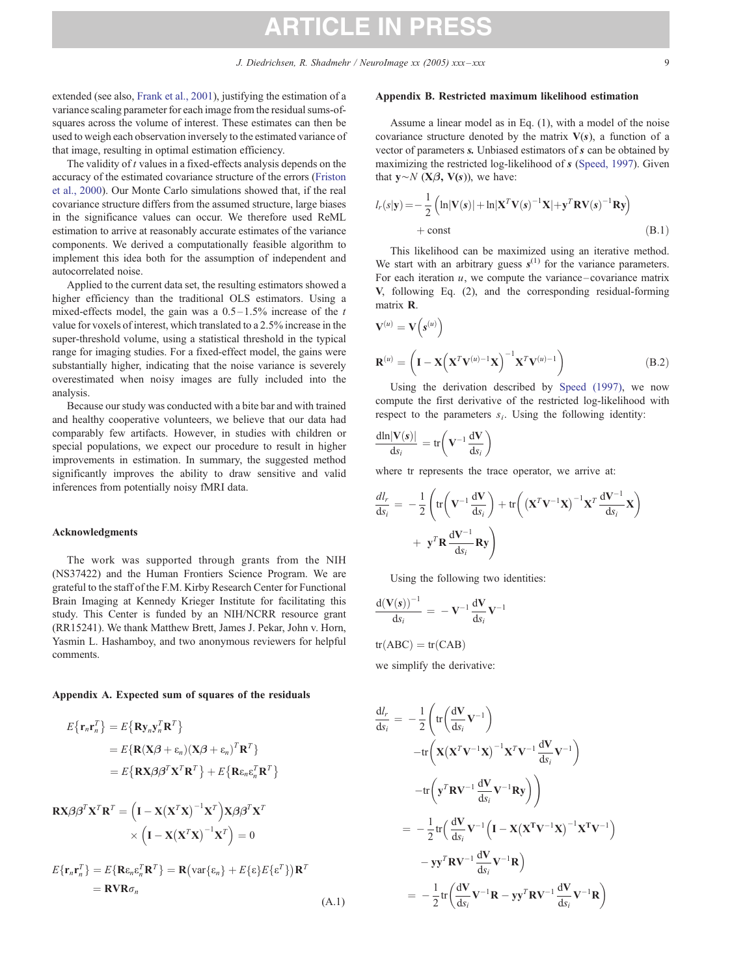extended (see also, [Frank et al., 2001\)](#page-9-0), justifying the estimation of a variance scaling parameter for each image from the residual sums-ofsquares across the volume of interest. These estimates can then be used to weigh each observation inversely to the estimated variance of that image, resulting in optimal estimation efficiency.

The validity of  $t$  values in a fixed-effects analysis depends on the accuracy of the estimated covariance structure of the errors ([Friston](#page-9-0) et al., 2000). Our Monte Carlo simulations showed that, if the real covariance structure differs from the assumed structure, large biases in the significance values can occur. We therefore used ReML estimation to arrive at reasonably accurate estimates of the variance components. We derived a computationally feasible algorithm to implement this idea both for the assumption of independent and autocorrelated noise.

Applied to the current data set, the resulting estimators showed a higher efficiency than the traditional OLS estimators. Using a mixed-effects model, the gain was a  $0.5-1.5\%$  increase of the t value for voxels of interest, which translated to a 2.5% increase in the super-threshold volume, using a statistical threshold in the typical range for imaging studies. For a fixed-effect model, the gains were substantially higher, indicating that the noise variance is severely overestimated when noisy images are fully included into the analysis.

Because our study was conducted with a bite bar and with trained and healthy cooperative volunteers, we believe that our data had comparably few artifacts. However, in studies with children or special populations, we expect our procedure to result in higher improvements in estimation. In summary, the suggested method significantly improves the ability to draw sensitive and valid inferences from potentially noisy fMRI data.

### Acknowledgments

The work was supported through grants from the NIH (NS37422) and the Human Frontiers Science Program. We are grateful to the staff of the F.M. Kirby Research Center for Functional Brain Imaging at Kennedy Krieger Institute for facilitating this study. This Center is funded by an NIH/NCRR resource grant (RR15241). We thank Matthew Brett, James J. Pekar, John v. Horn, Yasmin L. Hashamboy, and two anonymous reviewers for helpful comments.

#### Appendix A. Expected sum of squares of the residuals

$$
E\{\mathbf{r}_n \mathbf{r}_n^T\} = E\{\mathbf{R}\mathbf{y}_n \mathbf{y}_n^T \mathbf{R}^T\}
$$
  
\n
$$
= E\{\mathbf{R}(\mathbf{X}\boldsymbol{\beta} + \varepsilon_n)(\mathbf{X}\boldsymbol{\beta} + \varepsilon_n)^T \mathbf{R}^T\}
$$
  
\n
$$
= E\{\mathbf{R}\mathbf{X}\boldsymbol{\beta}\boldsymbol{\beta}^T \mathbf{X}^T \mathbf{R}^T\} + E\{\mathbf{R}\varepsilon_n \varepsilon_n^T \mathbf{R}^T\}
$$
  
\n
$$
\mathbf{R}\mathbf{X}\boldsymbol{\beta}\boldsymbol{\beta}^T \mathbf{X}^T \mathbf{R}^T = \left(\mathbf{I} - \mathbf{X}(\mathbf{X}^T\mathbf{X})^{-1}\mathbf{X}^T\right)\mathbf{X}\boldsymbol{\beta}\boldsymbol{\beta}^T \mathbf{X}^T
$$
  
\n
$$
\times \left(\mathbf{I} - \mathbf{X}(\mathbf{X}^T\mathbf{X})^{-1}\mathbf{X}^T\right) = 0
$$
  
\n
$$
E\{\mathbf{r}_n \mathbf{r}_n^T\} = E\{\mathbf{R}\varepsilon_n \varepsilon_n^T \mathbf{R}^T\} = \mathbf{R}\left(\text{var}\{\varepsilon_n\} + E\{\varepsilon\}E\{\varepsilon^T\}\right)\mathbf{R}^T
$$
  
\n
$$
= \mathbf{R}\mathbf{V}\mathbf{R}\sigma_n
$$
 (A.1)

### Appendix B. Restricted maximum likelihood estimation

Assume a linear model as in Eq. (1), with a model of the noise covariance structure denoted by the matrix  $V(s)$ , a function of a vector of parameters s. Unbiased estimators of s can be obtained by maximizing the restricted log-likelihood of s ([Speed, 1997\)](#page-10-0). Given that  $y \sim N$  ( $X\beta$ ,  $V(s)$ ), we have:

$$
l_r(s|\mathbf{y}) = -\frac{1}{2} \left( \ln |\mathbf{V}(s)| + \ln |\mathbf{X}^T \mathbf{V}(s)|^{-1} \mathbf{X}| + \mathbf{y}^T \mathbf{R} \mathbf{V}(s)^{-1} \mathbf{R} \mathbf{y} \right) + \text{const}
$$
\n(B.1)

This likelihood can be maximized using an iterative method. We start with an arbitrary guess  $s^{(1)}$  for the variance parameters. For each iteration  $u$ , we compute the variance – covariance matrix V, following Eq. (2), and the corresponding residual-forming matrix R.

$$
\mathbf{V}^{(u)} = \mathbf{V} \left( \mathbf{s}^{(u)} \right)
$$

$$
\mathbf{R}^{(u)} = \left( \mathbf{I} - \mathbf{X} \left( \mathbf{X}^T \mathbf{V}^{(u)-1} \mathbf{X} \right)^{-1} \mathbf{X}^T \mathbf{V}^{(u)-1} \right)
$$
(B.2)

Using the derivation described by [Speed \(1997\),](#page-10-0) we now compute the first derivative of the restricted log-likelihood with respect to the parameters  $s_i$ . Using the following identity:

$$
\frac{\mathrm{dln}|\mathbf{V}(\mathbf{s})|}{\mathrm{d}s_i} = \text{tr}\left(\mathbf{V}^{-1}\frac{\mathrm{d}\mathbf{V}}{\mathrm{d}s_i}\right)
$$

where tr represents the trace operator, we arrive at:

$$
\frac{dl_r}{ds_i} = -\frac{1}{2} \left( \text{tr} \left( \mathbf{V}^{-1} \frac{d\mathbf{V}}{ds_i} \right) + \text{tr} \left( \left( \mathbf{X}^T \mathbf{V}^{-1} \mathbf{X} \right)^{-1} \mathbf{X}^T \frac{d\mathbf{V}^{-1}}{ds_i} \mathbf{X} \right) + \mathbf{y}^T \mathbf{R} \frac{d\mathbf{V}^{-1}}{ds_i} \mathbf{R} \mathbf{y} \right)
$$

Using the following two identities:

$$
\frac{\mathrm{d}(\mathbf{V}(s))^{-1}}{\mathrm{d}s_i} = -\mathbf{V}^{-1}\frac{\mathrm{d}\mathbf{V}}{\mathrm{d}s_i}\mathbf{V}^{-1}
$$

 $tr(ABC) = tr(CAB)$ 

we simplify the derivative:

$$
\frac{dI_r}{ds_i} = -\frac{1}{2} \left( \text{tr} \left( \frac{dV}{ds_i} V^{-1} \right) \right.
$$
  
\n
$$
- \text{tr} \left( \mathbf{X} (\mathbf{X}^T V^{-1} \mathbf{X})^{-1} \mathbf{X}^T V^{-1} \frac{dV}{ds_i} V^{-1} \right)
$$
  
\n
$$
- \text{tr} \left( \mathbf{y}^T \mathbf{R} V^{-1} \frac{dV}{ds_i} V^{-1} \mathbf{R} \mathbf{y} \right) \right)
$$
  
\n
$$
= -\frac{1}{2} \text{tr} \left( \frac{dV}{ds_i} V^{-1} \left( \mathbf{I} - \mathbf{X} (\mathbf{X}^T V^{-1} \mathbf{X})^{-1} \mathbf{X}^T V^{-1} \right) \right)
$$
  
\n
$$
- \mathbf{y}^T \mathbf{R} V^{-1} \frac{dV}{ds_i} V^{-1} \mathbf{R} \right)
$$
  
\n
$$
= -\frac{1}{2} \text{tr} \left( \frac{dV}{ds_i} V^{-1} \mathbf{R} - \mathbf{y} \mathbf{y}^T \mathbf{R} V^{-1} \frac{dV}{ds_i} V^{-1} \mathbf{R} \right)
$$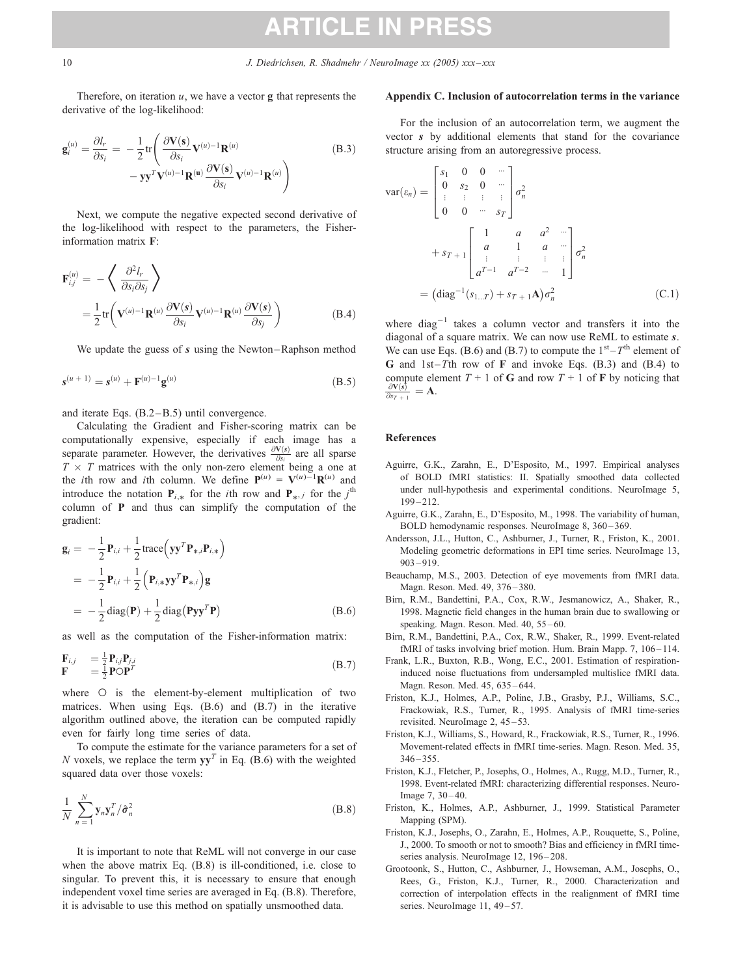<span id="page-9-0"></span>Therefore, on iteration  $u$ , we have a vector  $g$  that represents the derivative of the log-likelihood:

$$
\mathbf{g}_{i}^{(u)} = \frac{\partial l_{r}}{\partial s_{i}} = -\frac{1}{2} \text{tr} \left( \frac{\partial \mathbf{V}(\mathbf{s})}{\partial s_{i}} \mathbf{V}^{(u)-1} \mathbf{R}^{(u)} - \mathbf{y} \mathbf{y}^{T} \mathbf{V}^{(u)-1} \mathbf{R}^{(u)} \frac{\partial \mathbf{V}(\mathbf{s})}{\partial s_{i}} \mathbf{V}^{(u)-1} \mathbf{R}^{(u)} \right)
$$
(B.3)

Next, we compute the negative expected second derivative of the log-likelihood with respect to the parameters, the Fisherinformation matrix F:

$$
\mathbf{F}_{ij}^{(u)} = -\left\langle \frac{\partial^2 l_r}{\partial s_i \partial s_j} \right\rangle
$$
\n
$$
= \frac{1}{2} \text{tr} \left( \mathbf{V}^{(u)-1} \mathbf{R}^{(u)} \frac{\partial \mathbf{V}(s)}{\partial s_i} \mathbf{V}^{(u)-1} \mathbf{R}^{(u)} \frac{\partial \mathbf{V}(s)}{\partial s_j} \right)
$$
\n(B.4)

We update the guess of  $s$  using the Newton-Raphson method

$$
s^{(u+1)} = s^{(u)} + F^{(u)-1}g^{(u)}
$$
 (B.5)

and iterate Eqs.  $(B.2 - B.5)$  until convergence.

Calculating the Gradient and Fisher-scoring matrix can be computationally expensive, especially if each image has a separate parameter. However, the derivatives  $\frac{\partial V(s)}{\partial s_i}$  are all sparse  $T \times T$  matrices with the only non-zero element being a one at the *i*th row and *i*th column. We define  $P^{(u)} = V^{(u)-1}R^{(u)}$  and introduce the notation  $P_{i,*}$  for the *i*th row and  $P_{*,j}$  for the *j*<sup>th</sup> column of P and thus can simplify the computation of the gradient:

$$
\mathbf{g}_{i} = -\frac{1}{2}\mathbf{P}_{i,i} + \frac{1}{2}\text{trace}\left(\mathbf{y}\mathbf{y}^{T}\mathbf{P}_{*,i}\mathbf{P}_{i,*}\right)
$$
  
= 
$$
-\frac{1}{2}\mathbf{P}_{i,i} + \frac{1}{2}\left(\mathbf{P}_{i,*}\mathbf{y}\mathbf{y}^{T}\mathbf{P}_{*,i}\right)\mathbf{g}
$$
  
= 
$$
-\frac{1}{2}\text{diag}(\mathbf{P}) + \frac{1}{2}\text{diag}(\mathbf{P}\mathbf{y}\mathbf{y}^{T}\mathbf{P})
$$
(B.6)

as well as the computation of the Fisher-information matrix:

$$
\begin{array}{ll}\n\mathbf{F}_{i,j} & = \frac{1}{2} \mathbf{P}_{i,j} \mathbf{P}_{j,i} \\
\mathbf{F} & = \frac{1}{2} \mathbf{P} \mathbf{O} \mathbf{P}^T\n\end{array} \tag{B.7}
$$

where  $\circ$  is the element-by-element multiplication of two matrices. When using Eqs. (B.6) and (B.7) in the iterative algorithm outlined above, the iteration can be computed rapidly even for fairly long time series of data.

To compute the estimate for the variance parameters for a set of N voxels, we replace the term  $yy<sup>T</sup>$  in Eq. (B.6) with the weighted squared data over those voxels:

$$
\frac{1}{N} \sum_{n=1}^{N} \mathbf{y}_n \mathbf{y}_n^T / \hat{\sigma}_n^2
$$
 (B.8)

It is important to note that ReML will not converge in our case when the above matrix Eq. (B.8) is ill-conditioned, i.e. close to singular. To prevent this, it is necessary to ensure that enough independent voxel time series are averaged in Eq. (B.8). Therefore, it is advisable to use this method on spatially unsmoothed data.

### Appendix C. Inclusion of autocorrelation terms in the variance

For the inclusion of an autocorrelation term, we augment the vector s by additional elements that stand for the covariance structure arising from an autoregressive process.

$$
\text{var}(\varepsilon_n) = \begin{bmatrix} s_1 & 0 & 0 & \cdots \\ 0 & s_2 & 0 & \cdots \\ \vdots & \vdots & \vdots & \vdots \\ 0 & 0 & \cdots & s_T \end{bmatrix} \sigma_n^2
$$
  
+  $s_{T+1} \begin{bmatrix} 1 & a & a^2 & \cdots \\ a & 1 & a & \cdots \\ \vdots & \vdots & \vdots & \vdots \\ a^{T-1} & a^{T-2} & \cdots & 1 \end{bmatrix} \sigma_n^2$   
=  $(\text{diag}^{-1}(s_{1...T}) + s_{T+1} \mathbf{A}) \sigma_n^2$  (C.1)

where diag<sup>-1</sup> takes a column vector and transfers it into the diagonal of a square matrix. We can now use ReML to estimate s. We can use Eqs. (B.6) and (B.7) to compute the  $1<sup>st</sup> - T<sup>th</sup>$  element of G and  $1st-Tth$  row of F and invoke Eqs. (B.3) and (B.4) to compute element  $T + 1$  of G and row  $T + 1$  of F by noticing that  $\frac{\partial \mathbf{V}(\mathbf{s})}{\partial s_{T\ +\ 1}} = \mathbf{A}.$ 

#### References

- Aguirre, G.K., Zarahn, E., D'Esposito, M., 1997. Empirical analyses of BOLD fMRI statistics: II. Spatially smoothed data collected under null-hypothesis and experimental conditions. NeuroImage 5,  $199 - 212.$
- Aguirre, G.K., Zarahn, E., D'Esposito, M., 1998. The variability of human, BOLD hemodynamic responses. NeuroImage 8, 360 – 369.
- Andersson, J.L., Hutton, C., Ashburner, J., Turner, R., Friston, K., 2001. Modeling geometric deformations in EPI time series. NeuroImage 13,  $903 - 919$
- Beauchamp, M.S., 2003. Detection of eye movements from fMRI data. Magn. Reson. Med. 49, 376-380.
- Birn, R.M., Bandettini, P.A., Cox, R.W., Jesmanowicz, A., Shaker, R., 1998. Magnetic field changes in the human brain due to swallowing or speaking. Magn. Reson. Med. 40, 55-60.
- Birn, R.M., Bandettini, P.A., Cox, R.W., Shaker, R., 1999. Event-related fMRI of tasks involving brief motion. Hum. Brain Mapp. 7, 106-114.
- Frank, L.R., Buxton, R.B., Wong, E.C., 2001. Estimation of respirationinduced noise fluctuations from undersampled multislice fMRI data. Magn. Reson. Med. 45, 635-644.
- Friston, K.J., Holmes, A.P., Poline, J.B., Grasby, P.J., Williams, S.C., Frackowiak, R.S., Turner, R., 1995. Analysis of fMRI time-series revisited. NeuroImage 2, 45 – 53.
- Friston, K.J., Williams, S., Howard, R., Frackowiak, R.S., Turner, R., 1996. Movement-related effects in fMRI time-series. Magn. Reson. Med. 35,  $346 - 355$
- Friston, K.J., Fletcher, P., Josephs, O., Holmes, A., Rugg, M.D., Turner, R., 1998. Event-related fMRI: characterizing differential responses. Neuro-Image 7, 30 – 40.
- Friston, K., Holmes, A.P., Ashburner, J., 1999. Statistical Parameter Mapping (SPM).
- Friston, K.J., Josephs, O., Zarahn, E., Holmes, A.P., Rouquette, S., Poline, J., 2000. To smooth or not to smooth? Bias and efficiency in fMRI timeseries analysis. NeuroImage 12, 196-208.
- Grootoonk, S., Hutton, C., Ashburner, J., Howseman, A.M., Josephs, O., Rees, G., Friston, K.J., Turner, R., 2000. Characterization and correction of interpolation effects in the realignment of fMRI time series. NeuroImage 11, 49-57.